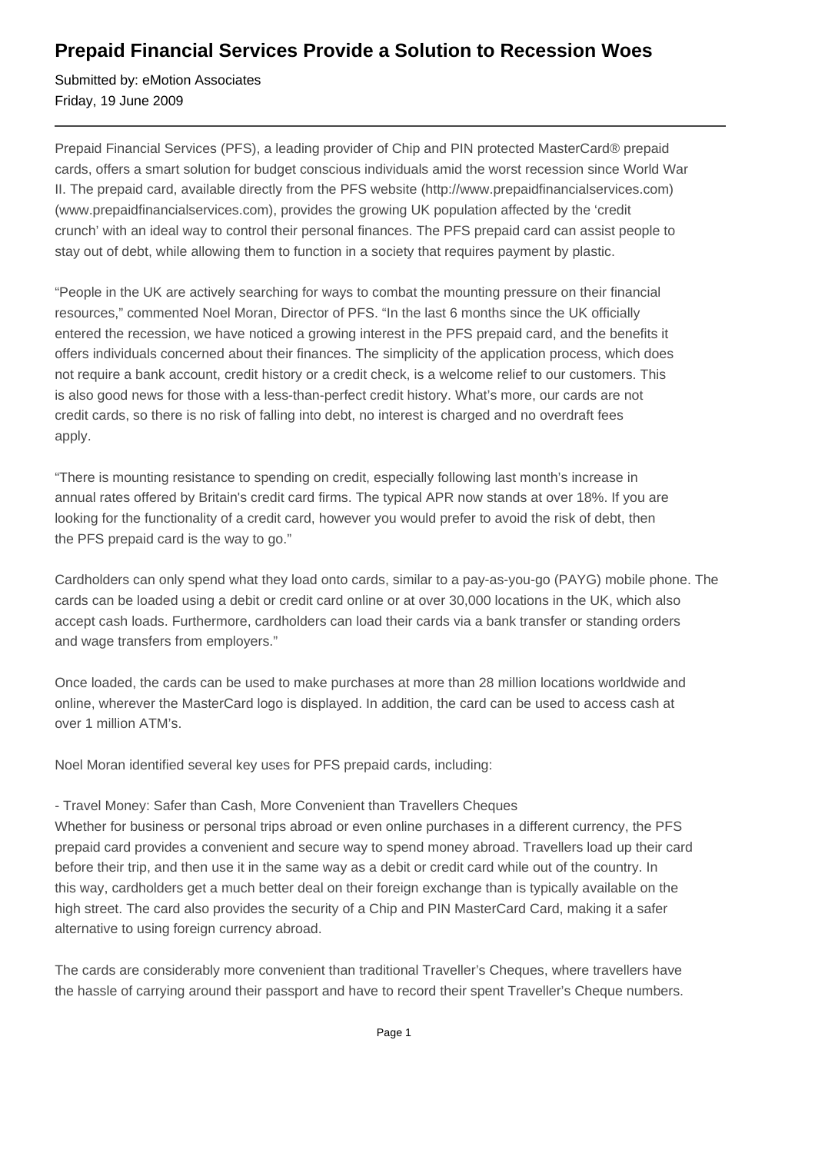# **Prepaid Financial Services Provide a Solution to Recession Woes**

Submitted by: eMotion Associates Friday, 19 June 2009

Prepaid Financial Services (PFS), a leading provider of Chip and PIN protected MasterCard® prepaid cards, offers a smart solution for budget conscious individuals amid the worst recession since World War II. The prepaid card, available directly from the PFS website (http://www.prepaidfinancialservices.com) (www.prepaidfinancialservices.com), provides the growing UK population affected by the 'credit crunch' with an ideal way to control their personal finances. The PFS prepaid card can assist people to stay out of debt, while allowing them to function in a society that requires payment by plastic.

"People in the UK are actively searching for ways to combat the mounting pressure on their financial resources," commented Noel Moran, Director of PFS. "In the last 6 months since the UK officially entered the recession, we have noticed a growing interest in the PFS prepaid card, and the benefits it offers individuals concerned about their finances. The simplicity of the application process, which does not require a bank account, credit history or a credit check, is a welcome relief to our customers. This is also good news for those with a less-than-perfect credit history. What's more, our cards are not credit cards, so there is no risk of falling into debt, no interest is charged and no overdraft fees apply.

"There is mounting resistance to spending on credit, especially following last month's increase in annual rates offered by Britain's credit card firms. The typical APR now stands at over 18%. If you are looking for the functionality of a credit card, however you would prefer to avoid the risk of debt, then the PFS prepaid card is the way to go."

Cardholders can only spend what they load onto cards, similar to a pay-as-you-go (PAYG) mobile phone. The cards can be loaded using a debit or credit card online or at over 30,000 locations in the UK, which also accept cash loads. Furthermore, cardholders can load their cards via a bank transfer or standing orders and wage transfers from employers."

Once loaded, the cards can be used to make purchases at more than 28 million locations worldwide and online, wherever the MasterCard logo is displayed. In addition, the card can be used to access cash at over 1 million ATM's.

Noel Moran identified several key uses for PFS prepaid cards, including:

- Travel Money: Safer than Cash, More Convenient than Travellers Cheques

Whether for business or personal trips abroad or even online purchases in a different currency, the PFS prepaid card provides a convenient and secure way to spend money abroad. Travellers load up their card before their trip, and then use it in the same way as a debit or credit card while out of the country. In this way, cardholders get a much better deal on their foreign exchange than is typically available on the high street. The card also provides the security of a Chip and PIN MasterCard Card, making it a safer alternative to using foreign currency abroad.

The cards are considerably more convenient than traditional Traveller's Cheques, where travellers have the hassle of carrying around their passport and have to record their spent Traveller's Cheque numbers.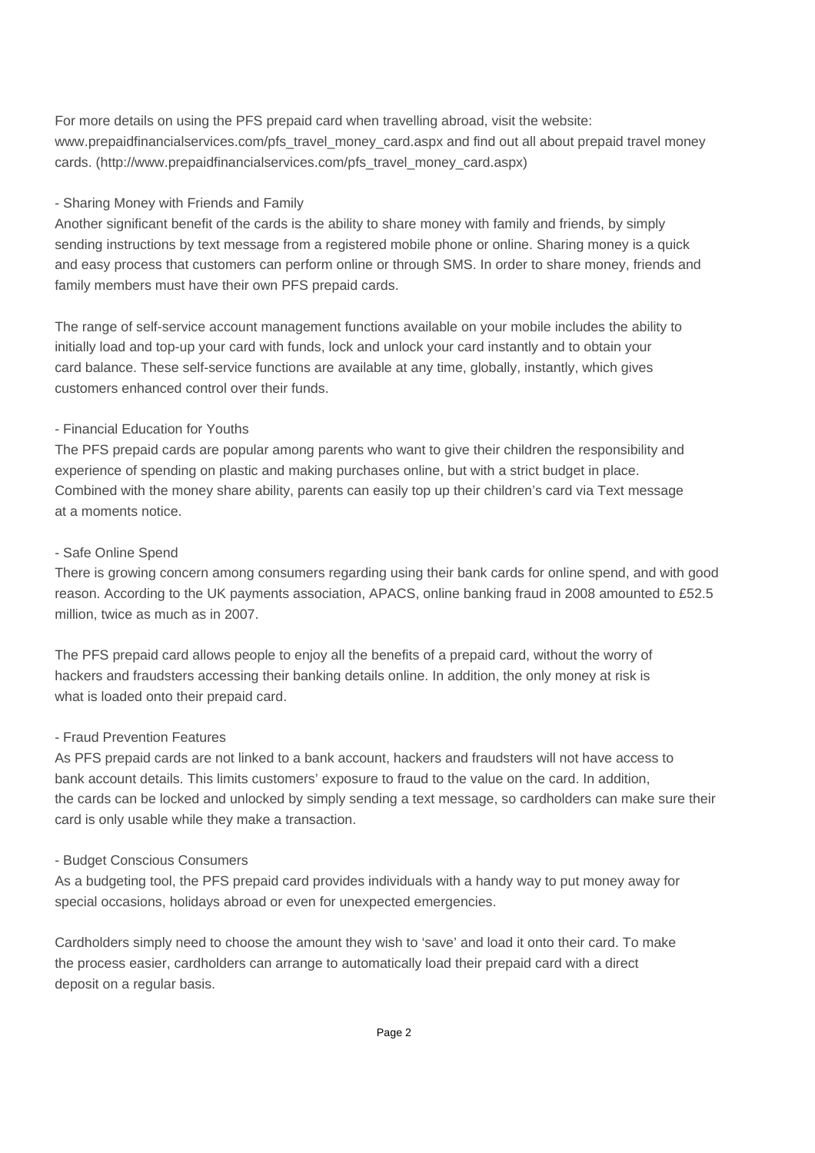For more details on using the PFS prepaid card when travelling abroad, visit the website: www.prepaidfinancialservices.com/pfs\_travel\_money\_card.aspx and find out all about prepaid travel money cards. (http://www.prepaidfinancialservices.com/pfs\_travel\_money\_card.aspx)

# - Sharing Money with Friends and Family

Another significant benefit of the cards is the ability to share money with family and friends, by simply sending instructions by text message from a registered mobile phone or online. Sharing money is a quick and easy process that customers can perform online or through SMS. In order to share money, friends and family members must have their own PFS prepaid cards.

The range of self-service account management functions available on your mobile includes the ability to initially load and top-up your card with funds, lock and unlock your card instantly and to obtain your card balance. These self-service functions are available at any time, globally, instantly, which gives customers enhanced control over their funds.

# - Financial Education for Youths

The PFS prepaid cards are popular among parents who want to give their children the responsibility and experience of spending on plastic and making purchases online, but with a strict budget in place. Combined with the money share ability, parents can easily top up their children's card via Text message at a moments notice.

#### - Safe Online Spend

There is growing concern among consumers regarding using their bank cards for online spend, and with good reason. According to the UK payments association, APACS, online banking fraud in 2008 amounted to £52.5 million, twice as much as in 2007.

The PFS prepaid card allows people to enjoy all the benefits of a prepaid card, without the worry of hackers and fraudsters accessing their banking details online. In addition, the only money at risk is what is loaded onto their prepaid card.

# - Fraud Prevention Features

As PFS prepaid cards are not linked to a bank account, hackers and fraudsters will not have access to bank account details. This limits customers' exposure to fraud to the value on the card. In addition, the cards can be locked and unlocked by simply sending a text message, so cardholders can make sure their card is only usable while they make a transaction.

#### - Budget Conscious Consumers

As a budgeting tool, the PFS prepaid card provides individuals with a handy way to put money away for special occasions, holidays abroad or even for unexpected emergencies.

Cardholders simply need to choose the amount they wish to 'save' and load it onto their card. To make the process easier, cardholders can arrange to automatically load their prepaid card with a direct deposit on a regular basis.